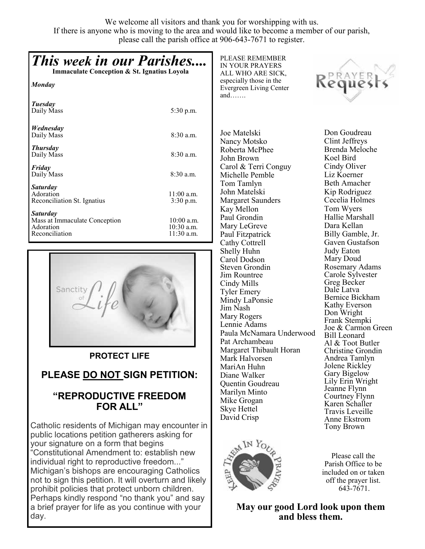We welcome all visitors and thank you for worshipping with us. If there is anyone who is moving to the area and would like to become a member of our parish, please call the parish office at 906-643-7671 to register.

## *This week in our Parishes....* **Immaculate Conception & St. Ignatius Loyola** *Monday Tuesday* Daily Mass 5:30 p.m. *Wednesday* Daily Mass 8:30 a.m. *Thursday*  Daily Mass 8:30 a.m. *Friday*  Daily Mass 8:30 a.m. *Saturday* Adoration 11:00 a.m. Reconciliation St. Ignatius 3:30 p.m. *Saturday* Mass at Immaculate Conception 10:00 a.m.<br>Adoration 10:30 a.m. 10:30 a.m.<br>11:30 a.m. Reconciliation



### **PROTECT LIFE**

## **PLEASE DO NOT SIGN PETITION:**

## **"REPRODUCTIVE FREEDOM FOR ALL"**

Catholic residents of Michigan may encounter in public locations petition gatherers asking for your signature on a form that begins "Constitutional Amendment to: establish new individual right to reproductive freedom..." Michigan's bishops are encouraging Catholics not to sign this petition. It will overturn and likely prohibit policies that protect unborn children. Perhaps kindly respond "no thank you" and say a brief prayer for life as you continue with your day.

PLEASE REMEMBER IN YOUR PRAYERS ALL WHO ARE SICK, especially those in the Evergreen Living Center and…….

Joe Matelski Nancy Motsko Roberta McPhee John Brown Carol & Terri Conguy Michelle Pemble Tom Tamlyn John Matelski Margaret Saunders Kay Mellon Paul Grondin Mary LeGreve Paul Fitzpatrick Cathy Cottrell Shelly Huhn Carol Dodson Steven Grondin Jim Rountree Cindy Mills Tyler Emery Mindy LaPonsie Jim Nash Mary Rogers Lennie Adams Paula McNamara Underwood Pat Archambeau Margaret Thibault Horan Mark Halvorsen MariAn Huhn Diane Walker Quentin Goudreau Marilyn Minto Mike Grogan Skye Hettel David Crisp



Clint Jeffreys Brenda Meloche Koel Bird Cindy Oliver Liz Koerner Beth Amacher Kip Rodriguez Cecelia Holmes Tom Wyers Hallie Marshall Dara Kellan Billy Gamble, Jr. Gaven Gustafson Judy Eaton Mary Doud Rosemary Adams Carole Sylvester Greg Becker Dale Latva Bernice Bickham Kathy Everson Don Wright Frank Stempki Joe & Carmon Green Bill Leonard Al & Toot Butler Christine Grondin Andrea Tamlyn Jolene Rickley Gary Bigelow Lily Erin Wright Jeanne Flynn Courtney Flynn Karen Schaller Travis Leveille Anne Ekstrom

Please call the Parish Office to be included on or taken off the prayer list. 643-7671.

Tony Brown

**May our good Lord look upon them and bless them.** 



Don Goudreau